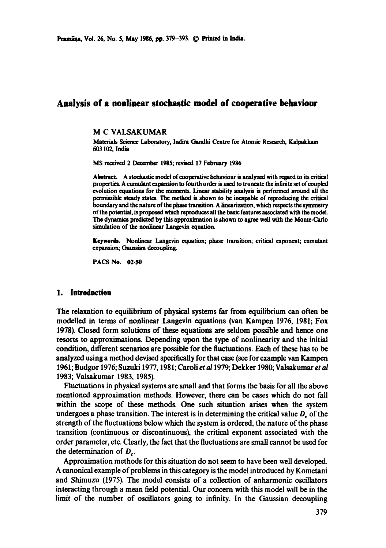## **Analysis of a nonlinear stochastic model of cooperative behaviour**

## M C VALSAKUMAR

Materials Science Laboratory, Indira Gandhi Centre for Atomic Research, Kalpakkam 603102, India

MS received 2 December 1985; revised 17 February 1986

Abstract. A stochastic model of cooperative behaviour is analyzed with regard to its critical properties. A cumulant expansion to fourth order is used to truncate the infinite set of coupled evolution equations for the moments. Linear stability analysis is performed around all the permissible steady states. The method is shown to be incapable of reproducing the critical boundary and the nature of the phase transition. A linearization, which respects the symmetry of the potential, is proposed which reproduces all the basic features associated with the model. The dynamics predicted by this approximation is shown to agree well with the Monte-Carlo simulation of the nonlinear Langevin equation.

**geyworda.** Nonlinear Langevin equation; phase transition; critical exponent: cumulant expansion; Gaussian decoupling.

PACS No. 02-50

#### **1. Introduction**

The relaxation to equilibrium of physical systems far from equilibrium can often be modelled in terms of nonlinear Langevin equations (van Kampen 1976, 1981; Fox 1978). Closed form solutions of these equations are seldom possible and hence one resorts to approximations. Depending upon the type of nonlinearity and the initial condition, different scenarios are possible for the fluctuations. Each of these has to be analyzed using a method devised specifically for that case (see for example van Kampen 1961; Budgor 1976; Suzuki 1977,1981; Caroliet *ai* 1979; Dekker 1980; Valsakumar *et ai*  1983; Valsakumar 1983, 1985).

Fluctuations in physical systems are small and that forms the basis for all the above mentioned approximation methods. However, there can be cases which do not fall within the scope of these methods. One such situation arises when the system undergoes a phase transition. The interest is in determining the critical value  $D<sub>c</sub>$  of the strength of the fluctuations below which the system is ordered, the nature of the phase transition (continuous or discontinuous), the critical exponent associated with the order parameter, etc. Clearly, the fact that the fluctuations are small cannot be used for the determination of  $D<sub>e</sub>$ .

Approximation methods for this situation do not seem to have been well developed. A canonical example of problems in this category is the model introduced by Kometani and Shimuzu (1975). The model consists of a collection of anharmonic oscillators interacting through a mean field potential. Our concern with this model will be in the limit of the number of oscillators going to infinity. In the Gaussian decoupling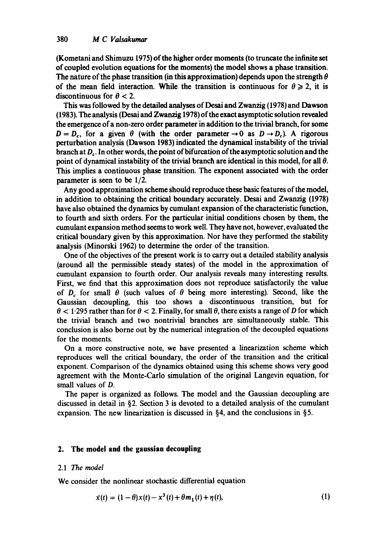(Kometani and Shimuzu 1975) of the higher order moments (to truncate the infinite set of coupled evolution equations for the moments) the model shows a phase transition. The nature of the phase transition (in this approximation) depends upon the strength  $\theta$ of the mean field interaction. While the transition is continuous for  $\theta \ge 2$ , it is discontinuous for  $\theta$  < 2.

This was followed by the detailed analyses of Desai and Zwanzig (1978) and Dawson (1983). The analysis (Desai and Zwanzig 1978) of the exact asymptotic solution revealed the emergence of a non-zero order parameter in addition to the trivial branch, for some  $D = D_c$ , for a given  $\theta$  (with the order parameter  $\rightarrow 0$  as  $D \rightarrow D_c$ ). A rigorous perturbation analysis (Dawson 1983) indicated the dynamical instability of the trivial branch at  $D<sub>c</sub>$ . In other words, the point of bifurcation of the asymptotic solution and the point of dynamical instability of the trivial branch are identical in this model, for all  $\theta$ . This implies a continuous phase transition. The exponent associated with the order parameter is seen to be 1/2.

Any good approximation scheme should reproduce these basic features of the model, in addition to obtaining the critical boundary accurately. Desai and Zwanzig (1978) have also obtained the dynamics by cumulant expansion of the characteristic function, to fourth and sixth orders. For the particular initial conditions chosen by them, the cumulant expansion method seems to work well. They have not, however, evaluated the critical boundary given by this approximation. Nor have they performed the stability analysis (Minorski 1962) to determine the order of the transition.

One of the objectives of the present work is to carry out a detailed stability analysis (around all the permissible steady states) of the model in the approximation of cumulant expansion to fourth order. Our analysis reveals many interesting results. First, we find that this approximation does not reproduce satisfactorily the value of  $D_c$  for small  $\theta$  (such values of  $\theta$  being more interesting). Second, like the Gaussian decoupling, this too shows a discontinuous transition, but for  $\theta$  < 1.295 rather than for  $\theta$  < 2. Finally, for small  $\theta$ , there exists a range of D for which the trivial branch and two nontrivial branches are simultaneously stable. This conclusion is also borne out by the numerical integration of the decoupled equations for the moments.

On a more constructive note, we have presented a linearization scheme which reproduces well the critical boundary, the order of the transition and the critical exponent. Comparison of the dynamics obtained using this scheme shows very good agreement with the Monte-Carlo simulation of the original Langevin equation, for small values of D.

The paper is organized as follows. The model and the Gaussian decoupling are discussed in detail in §2. Section 3 is devoted to a detailed analysis of the cumulant expansion. The new linearization is discussed in §4, and the conclusions in §5.

## **2. The model and the gaussian decoupling**

#### 2.1 The *model*

We consider the nonlinear stochastic differential equation

$$
\dot{x}(t) = (1 - \theta)x(t) - x^3(t) + \theta m_1(t) + \eta(t),
$$
\n(1)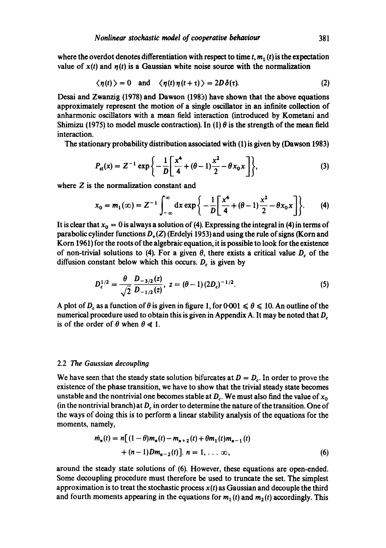where the overdot denotes differentiation with respect to time  $t, m_1(t)$  is the expectation value of  $x(t)$  and  $\eta(t)$  is a Gaussian white noise source with the normalization

$$
\langle \eta(t) \rangle = 0 \quad \text{and} \quad \langle \eta(t) \eta(t+\tau) \rangle = 2D \delta(\tau). \tag{2}
$$

Desai and Zwanzig (1978) and Dawson (1983) have shown that the above equations approximately represent the motion of a single oscillator in an infinite collection of anharmonic oscillators with a mean field interaction (introduced by Kometani and Shimizu (1975) to model muscle contraction). In (1)  $\theta$  is the strength of the mean field interaction.

The stationary probability distribution associated with (1) is given by (Dawson 1983)

$$
P_{\rm st}(x) = Z^{-1} \exp\bigg\{-\frac{1}{D}\bigg[\frac{x^4}{4} + (\theta - 1)\frac{x^2}{2} - \theta x_0 x\bigg]\bigg\},\tag{3}
$$

where Z is the normalization constant and

$$
x_0 = m_1(\infty) = Z^{-1} \int_{-\infty}^{\infty} dx \exp \left\{ -\frac{1}{D} \left[ \frac{x^4}{4} + (\theta - 1) \frac{x^2}{2} - \theta x_0 x \right] \right\}.
$$
 (4)

It is clear that  $x_0 = 0$  is always a solution of (4). Expressing the integral in (4) in terms of parabolic cylinder functions  $D_{\nu}(Z)$  (Erdelyi 1953) and using the rule of signs (Korn and Korn 1961) for the roots of the algebraic equation, it is possible to look for the existence of non-trivial solutions to (4). For a given  $\theta$ , there exists a critical value  $D<sub>c</sub>$  of the diffusion constant below which this occurs.  $D<sub>c</sub>$  is given by

$$
D_c^{1/2} = \frac{\theta}{\sqrt{2}} \frac{D_{-3/2}(z)}{D_{-1/2}(z)}, \ z = (\theta - 1)(2D_c)^{-1/2}.
$$
 (5)

A plot of  $D_c$  as a function of  $\theta$  is given in figure 1, for 0.001  $\leq \theta \leq 10$ . An outline of the numerical procedure used to obtain this is given in Appendix A. It may be noted that  $D<sub>c</sub>$ is of the order of  $\theta$  when  $\theta \ll 1$ .

#### 2.2 The *Gaussian decoupling*

We have seen that the steady state solution bifurcates at  $D = D_c$ . In order to prove the existence of the phase transition, we have to show that the trivial steady state becomes unstable and the nontrivial one becomes stable at  $D_c$ . We must also find the value of  $x_0$ (in the nontrivial branch) at  $D_c$  in order to determine the nature of the transition. One of the ways of doing this is to perform a linear stability analysis of the equations for the moments, namely,

$$
\dot{m}_n(t) = n[(1-\theta)m_n(t) - m_{n+2}(t) + \theta m_1(t)m_{n-1}(t) + (n-1)Dm_{n-2}(t)]. \quad n = 1, ..., \infty,
$$
\n(6)

around the steady state solutions of (6). However, these equations are open-ended. Some decoupling procedure must therefore be used to truncate the set. The simplest approximation is to treat the stochastic process  $x(t)$  as Gaussian and decouple the third and fourth moments appearing in the equations for  $m_1(t)$  and  $m_2(t)$  accordingly. This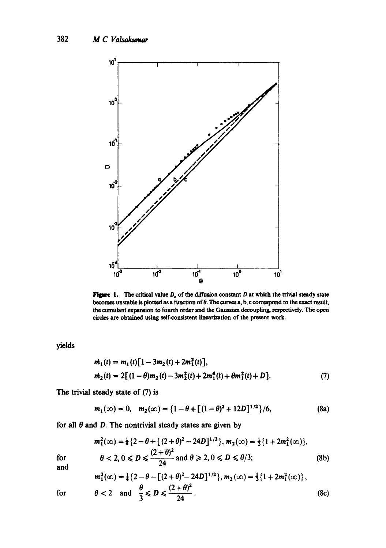

Figure 1. The critical value  $D_c$  of the diffusion constant  $D$  at which the trivial steady state becomes unstable is plotted as a function of  $\theta$ . The curves a, b, c correspond to the exact result, the cumulant expansion to fourth order and the Gaussian decoupling, respectively. The open circles are obtained using self.consistent linearization of the present work.

yields

$$
\begin{aligned} \dot{m}_1(t) &= m_1(t) \big[ 1 - 3m_2(t) + 2m_1^2(t) \big], \\ \dot{m}_2(t) &= 2 \big[ \left( 1 - \theta \right) m_2(t) - 3m_2^2(t) + 2m_1^4(t) + \theta m_1^2(t) + D \big]. \end{aligned} \tag{7}
$$

The trivial steady state of (7) is

$$
m_1(\infty) = 0, \quad m_2(\infty) = \{1 - \theta + \left[ (1 - \theta)^2 + 12D \right]^{1/2} \}/6, \tag{8a}
$$

for all  $\theta$  and  $D$ . The nontrivial steady states are given by

 $3$   $24$ 

$$
m_1^2(\infty) = \frac{1}{4} \{2 - \theta + \left[ (2 + \theta)^2 - 24D \right]^{1/2} \}, m_2(\infty) = \frac{1}{3} \{1 + 2m_1^2(\infty) \},
$$
  
for  $\theta < 2, 0 \le D \le \frac{(2 + \theta)^2}{24}$  and  $\theta \ge 2, 0 \le D \le \theta/3$ ; (8b)

and

$$
m_1^2(\infty) = \frac{1}{4} \{2 - \theta - \left[ (2 + \theta)^2 - 24D \right]^{1/2} \}, m_2(\infty) = \frac{1}{3} \{1 + 2m_1^2(\infty) \},
$$

for  $\theta < 2$  and  $\frac{1}{\pi} \leqslant D \leqslant \frac{(2 + 1)^2}{\pi}$ . (8c)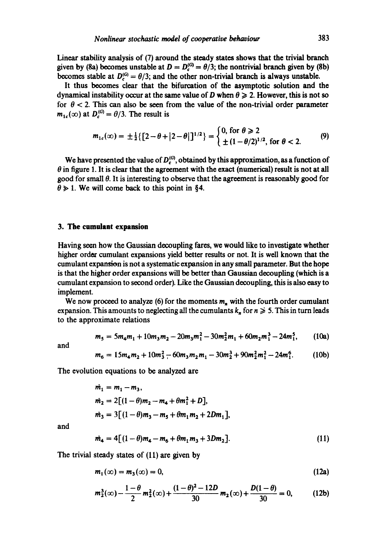Linear stability analysis of (7) around the steady states shows that the trivial branch given by (8a) becomes unstable at  $D = D_c^{(G)} = \theta/3$ ; the nontrivial branch given by (8b) becomes stable at  $D_c^{(G)} = \theta/3$ ; and the other non-trivial branch is always unstable.

It thus becomes clear that the bifurcation of the asymptotic solution and the dynamical instability occur at the same value of D when  $\theta \ge 2$ . However, this is not so for  $\theta$  < 2. This can also be seen from the value of the non-trivial order parameter  $m_{1c}(\infty)$  at  $D_c^{(G)} = \theta/3$ . The result is

$$
m_{1c}(\infty) = \pm \frac{1}{2} \{ [2 - \theta + |2 - \theta|]^{1/2} \} = \begin{cases} 0, & \text{for } \theta \ge 2 \\ \pm (1 - \theta/2)^{1/2}, & \text{for } \theta < 2. \end{cases}
$$
(9)

We have presented the value of  $D<sub>c</sub><sup>(G)</sup>$ , obtained by this approximation, as a function of  $\theta$  in figure 1. It is clear that the agreement with the exact (numerical) result is not at all good for small  $\theta$ . It is interesting to observe that the agreement is reasonably good for  $\theta \geq 1$ . We will come back to this point in §4.

#### **3. The eumulaat expansion**

Having seen how the Gaussian decoupling fares, we would like to investigate whether higher order cumulant expansions yield better results or not. It is well known that the cumulant expansion is not a systematic expansion in any small parameter. But the hope is that the higher order expansions will be better than Gaussian decoupling (which is a cumulant expansion to second order). Like the Gaussian decoupling, this is also easy to implement.

We now proceed to analyze (6) for the moments  $m_n$  with the fourth order cumulant expansion. This amounts to neglecting all the cumulants  $k_n$  for  $n \geqslant 5$ . This in turn leads to the approximate relations

$$
m_5 = 5m_4m_1 + 10m_3m_2 - 20m_3m_1^2 - 30m_2^2m_1 + 60m_2m_1^3 - 24m_1^5, \qquad (10a)
$$

and

$$
m_6 = 15m_4m_2 + 10m_3^2 - 60m_3m_2m_1 - 30m_2^3 + 90m_2^2m_1^2 - 24m_1^6. \tag{10b}
$$

The evolution equations to be analyzed are

$$
\begin{aligned}\n\dot{m}_1 &= m_1 - m_3, \\
\dot{m}_2 &= 2[(1 - \theta)m_2 - m_4 + \theta m_1^2 + D], \\
\dot{m}_3 &= 3[(1 - \theta)m_3 - m_5 + \theta m_1 m_2 + 2Dm_1],\n\end{aligned}
$$

and

$$
\dot{m}_4 = 4[(1-\theta)m_4 - m_6 + \theta m_1 m_3 + 3Dm_2].
$$
\n(11)

The trivial steady states of (11) are given by

$$
m_1(\infty) = m_3(\infty) = 0,\tag{12a}
$$

$$
m_2^3(\infty) - \frac{1-\theta}{2} m_2^2(\infty) + \frac{(1-\theta)^2 - 12D}{30} m_2(\infty) + \frac{D(1-\theta)}{30} = 0,
$$
 (12b)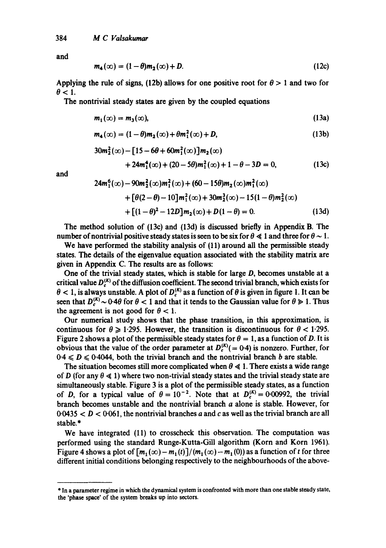384 *M C Valsakumar* 

and

$$
m_4(\infty) = (1 - \theta)m_2(\infty) + D. \tag{12c}
$$

Applying the rule of signs, (12b) allows for one positive root for  $\theta > 1$  and two for  $\theta$  < 1.

The nontrivial steady states are given by the coupled equations

$$
m_1(\infty) = m_3(\infty), \tag{13a}
$$

$$
m_4(\infty) = (1 - \theta)m_2(\infty) + \theta m_1^2(\infty) + D,\tag{13b}
$$

$$
30m_2^2(\infty) - [15 - 6\theta + 60m_1^2(\infty)]m_2(\infty)
$$
  
+ 24m\_1^4(\infty) + (20 - 5\theta)m\_1^2(\infty) + 1 - \theta - 3D = 0, (13c)

and

$$
24m_1^6(\infty) - 90m_2^2(\infty)m_1^2(\infty) + (60 - 15\theta)m_2(\infty)m_1^2(\infty)
$$
  
+ 
$$
[\theta(2 - \theta) - 10]m_1^2(\infty) + 30m_2^3(\infty) - 15(1 - \theta)m_2^2(\infty)
$$
  
+ 
$$
[(1 - \theta)^2 - 12D]m_2(\infty) + D(1 - \theta) = 0.
$$
 (13d)

The method solution of (13c) and (13d) is discussed briefly in Appendix B. The number of nontrivial positive steady states is seen to be six for  $\theta \ll 1$  and three for  $\theta \sim 1$ .

We have performed the stability analysis of  $(11)$  around all the permissible steady states. The details of the eigenvalue equation associated with the stability matrix are given in Appendix C. The results are as follows:

One of the trivial steady states, which is stable for large D, becomes unstable at a critical value  $D_{\epsilon}^{(K)}$  of the diffusion coefficient. The second trivial branch, which exists for  $\theta$  < 1, is always unstable. A plot of  $D_c^{(K)}$  as a function of  $\theta$  is given in figure 1. It can be seen that  $D_r^{(K)} \sim 0.4\theta$  for  $\theta < 1$  and that it tends to the Gaussian value for  $\theta \ge 1$ . Thus the agreement is not good for  $\theta < 1$ .

Our numerical study shows that the phase transition, in this approximation, is continuous for  $\theta \ge 1.295$ . However, the transition is discontinuous for  $\theta < 1.295$ . Figure 2 shows a plot of the permissible steady states for  $\theta = 1$ , as a function of D. It is obvious that the value of the order parameter at  $D_{\epsilon}^{(K)}(= 0.4)$  is nonzero. Further, for  $0.4 \leq D \leq 0.4044$ , both the trivial branch and the nontrivial branch b are stable.

The situation becomes still more complicated when  $\theta \ll 1$ . There exists a wide range of D (for any  $\theta \ll 1$ ) where two non-trivial steady states and the trivial steady state are simultaneously stable. Figure 3 is a plot of the permissible steady states, as a function of D, for a typical value of  $\theta = 10^{-2}$ . Note that at  $D_c^{(K)} = 0.00992$ , the trivial branch becomes unstable and the nontrivial branch a alone is stable. However, for  $0.0435 < D < 0.061$ , the nontrivial branches a and c as well as the trivial branch are all stable.\*

We have integrated (11) to crosscheck this observation. The computation was performed using the standard Runge-Kutta-Gill algorithm (Korn and Korn 1961). Figure 4 shows a plot of  $\lceil m_1(\infty) - m_1(t) \rceil/(m_1(\infty) - m_1(0))$  as a function of t for three different initial conditions belonging respectively to the neighbourhoods of the above-

<sup>\*</sup> In a parameter regime in which the dynamical system is confronted with more than one stable steady state, the 'phase space' of the system breaks up into sectors.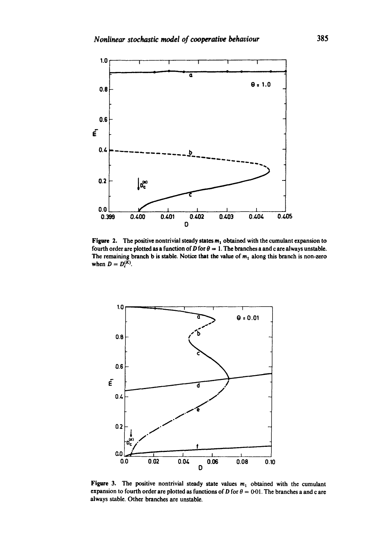

Figure 2. The positive nontrivial steady states  $m_1$  obtained with the cumulant expansion to fourth order are plotted as a function of D for  $\theta = 1$ . The branches a and c are always unstable. The remaining branch b is stable. Notice that the value of  $m_1$  along this branch is non-zero when  $D = D_c^{(K)}$ .



Figure 3. The positive nontrivial steady state values  $m_1$  obtained with the cumulant expansion to fourth order are plotted as functions of D for  $\theta = 0.01$ . The branches a and c are always stable. Other branches are unstable.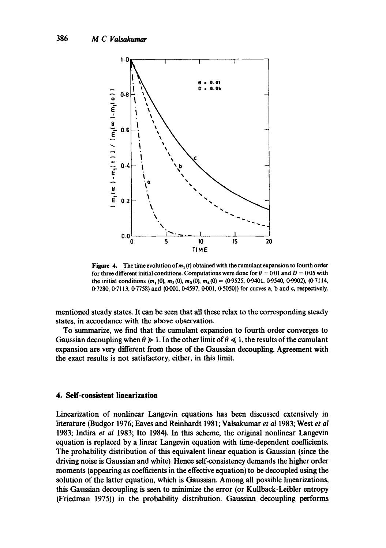

Figure 4. The time evolution of  $m_1(t)$  obtained with the cumulant expansion to fourth order for three different initial conditions. Computations were done for  $\theta = 0.01$  and  $D = 0.05$  with the initial conditions  $(m_1(0), m_2(0), m_3(0), m_4(0) = (0.9525, 0.9401, 0.9540, 0.9902), (0.7114, 0.9540, 0.9902)$ 0-7280, 0-7113, 0-7758) and (0-001, 0.4597, 0.001, 0-5050)) for curves a, b and c, respectively.

mentioned steady states. It can be seen that all these relax to the corresponding steady states, in accordance with the above observation.

To summarize, we find that the cumulant expansion to fourth order converges to Gaussian decoupling when  $\theta \ge 1$ . In the other limit of  $\theta \le 1$ , the results of the cumulant expansion are very different from those of the Gaussian decoupling. Agreement with the exact results is not satisfactory, either, in this limit.

## **4. Self-consistent iinearization**

Linearization of nonlinear Langevin equations has been discussed extensively in literature (Budgor 1976; Eaves and Reinhardt 1981; Valsakumar *et al* 1983; West *et al*  1983; Indira *et al* 1983; Ito 1984). In this scheme, the original nonlinear Langevin equation is replaced by a linear Langevin equation with time-dependent coefficients. The probability distribution of this equivalent linear equation is Gaussian (since the driving noise is Gaussian and white). Hence self-consistency demands the higher order moments (appearing as coefficients in the effective equation) to be decoupled using the solution of the latter equation, which is Gaussian. Among all possible linearizations, this Gaussian decoupling is seen to minimize the error (or Kullback-Leibler entropy (Friedman 1975)) in the probability distribution. Gaussian decoupling performs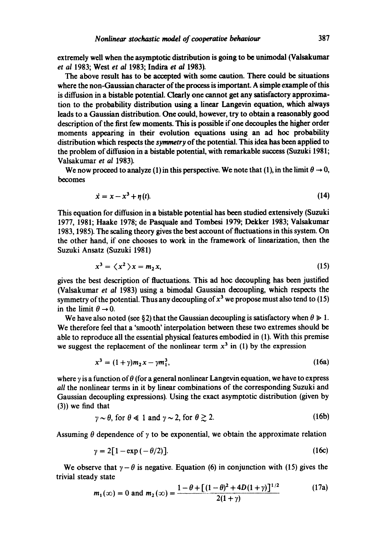extremely well when the asymptotic distribution is going to be unimodal (Valsakumar *et al* 1983; West *et al* 1983; Indira *et al* 1983).

The above result has to be accepted with some caution. There could be situations where the non-Gaussian character of the process is important. A simple example of this is diffusion in a bistable potential. Clearly one cannot get any satisfactory approximation to the probability distribution using a linear Langevin equation, which always leads to a Gaussian distribution. One could, however, try to obtain a reasonably good description of the first few moments. This is possible if one decouples the higher order moments appearing in their evolution equations using an ad hoc probability distribution which respects the symmetry of the potential. This idea has been applied to the problem of diffusion in a bistable potential, with remarkable success (Suzuki 1981; Valsakumar *et al* 1983).

We now proceed to analyze (1) in this perspective. We note that (1), in the limit  $\theta \rightarrow 0$ , becomes

$$
\dot{x} = x - x^3 + \eta(t). \tag{14}
$$

This equation for diffusion in a bistable potential has been studied extensively (Suzuki 1977, 1981; Haake 1978; de Pasquale and Tombesi 1979; Dekker 1983; Valsakumar 1983, 1985). The scaling theory gives the best account of fluctuations in this system. On the other hand, if one chooses to work in the framework of linearization, then the Suzuki Ansatz (Suzuki 1981)

$$
x^3 = \langle x^2 \rangle x = m_2 x, \tag{15}
$$

gives the best description of fluctuations. This ad hoc decoupling has been justified (Valsakumar *et al* 1983) using a bimodal Gaussian decoupling, which respects the symmetry of the potential. Thus any decoupling of  $x<sup>3</sup>$  we propose must also tend to (15) in the limit  $\theta \rightarrow 0$ .

We have also noted (see §2) that the Gaussian decoupling is satisfactory when  $\theta \ge 1$ . We therefore feel that a 'smooth' interpolation between these two extremes should be able to reproduce all the essential physical features embodied in (1). With this premise we suggest the replacement of the nonlinear term  $x<sup>3</sup>$  in (1) by the expression

$$
x^3 = (1+\gamma)m_2x - \gamma m_1^3, \tag{16a}
$$

where  $\gamma$  is a function of  $\theta$  (for a general nonlinear Langevin equation, we have to express *all* the nonlinear terms in it by linear combinations of the corresponding Suzuki and Gaussian decoupling expressions). Using the exact asymptotic distribution (given by (3)) we find that

$$
\gamma \sim \theta, \text{ for } \theta \ll 1 \text{ and } \gamma \sim 2, \text{ for } \theta \gtrsim 2. \tag{16b}
$$

Assuming  $\theta$  dependence of  $\gamma$  to be exponential, we obtain the approximate relation

$$
\gamma = 2[1 - \exp(-\theta/2)].\tag{16c}
$$

We observe that  $y - \theta$  is negative. Equation (6) in conjunction with (15) gives the trivial steady state

$$
m_1(\infty) = 0 \text{ and } m_2(\infty) = \frac{1 - \theta + \left[ (1 - \theta)^2 + 4D(1 + \gamma) \right]^{1/2}}{2(1 + \gamma)} \tag{17a}
$$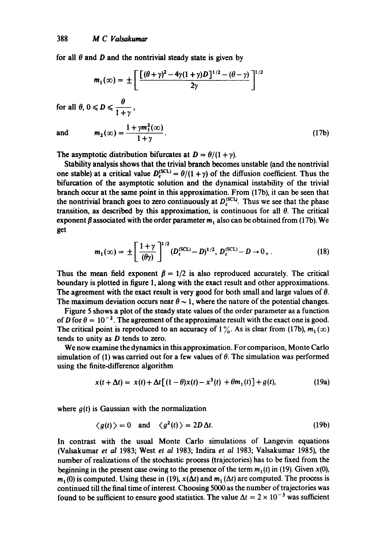for all  $\theta$  and  $D$  and the nontrivial steady state is given by

$$
m_1(\infty) = \pm \left[ \frac{\left[ (\theta + \gamma)^2 - 4\gamma (1 + \gamma) D \right]^{1/2} - (\theta - \gamma)}{2\gamma} \right]^{1/2}
$$
  
for all  $\theta, 0 \le D \le \frac{\theta}{1 + \gamma}$ ,  
and 
$$
m_2(\infty) = \frac{1 + \gamma m_1^2(\infty)}{1 + \gamma}.
$$
 (17b)

The asymptotic distribution bifurcates at  $D = \theta/(1 + \gamma)$ .

Stability analysis shows that the trivial branch becomes unstable (and the nontrivial one stable) at a critical value  $D_c^{(SCL)} = \theta/(1 + \gamma)$  of the diffusion coefficient. Thus the bifurcation of the asymptotic solution and the dynamical instability of the trivial branch occur at the same point in this approximation. From (17b), it can be seen that the nontrivial branch goes to zero continuously at  $D_c^{\text{(SCL)}}$ . Thus we see that the phase transition, as described by this approximation, is continuous for all  $\theta$ . The critical exponent  $\beta$  associated with the order parameter  $m_1$  also can be obtained from (17b). We get

$$
m_1(\infty) = \pm \left[ \frac{1+\gamma}{(\theta \gamma)} \right]^{1/2} (D_c^{(\text{SCL})} - D)^{1/2}, D_c^{(\text{SCL})} - D \to 0_+ \,. \tag{18}
$$

Thus the mean field exponent  $\beta = 1/2$  is also reproduced accurately. The critical boundary is plotted in figure 1, along with the exact result and other approximations. The agreement with the exact result is very good for both small and large values of  $\theta$ . The maximum deviation occurs near  $\theta \sim 1$ , where the nature of the potential changes.

Figure 5 shows a plot of the steady state values of the order parameter as a function of D for  $\theta = 10^{-2}$ . The agreement of the approximate result with the exact one is good. The critical point is reproduced to an accuracy of  $1\%$ . As is clear from (17b),  $m_1(\infty)$ tends to unity as  $D$  tends to zero.

We now examine the dynamics in this approximation. For comparison, Monte Carlo simulation of (1) was carried out for a few values of  $\theta$ . The simulation was performed using the finite-difference algorithm

$$
x(t + \Delta t) = x(t) + \Delta t [(1 - \theta)x(t) - x^{3}(t) + \theta m_{1}(t)] + g(t),
$$
 (19a)

where *g(t)* is Gaussian with the normalization

$$
\langle g(t) \rangle = 0 \quad \text{and} \quad \langle g^2(t) \rangle = 2D \Delta t. \tag{19b}
$$

In contrast with the usual Monte Carlo simulations of Langevin equations (Valsakumar *et al* 1983; West *et al* 1983; Indira *et al* 1983; Valsakumar 1985), the number of realizations of the stochastic process (trajectories) has to be fixed from the beginning in the present case owing to the presence of the term  $m_1(t)$  in (19). Given  $x(0)$ ,  $m_1 (0)$  is computed. Using these in (19),  $x(\Delta t)$  and  $m_1 (\Delta t)$  are computed. The process is continued till the final time of interest. Choosing 5000 as the number of trajectories was found to be sufficient to ensure good statistics. The value  $\Delta t = 2 \times 10^{-3}$  was sufficient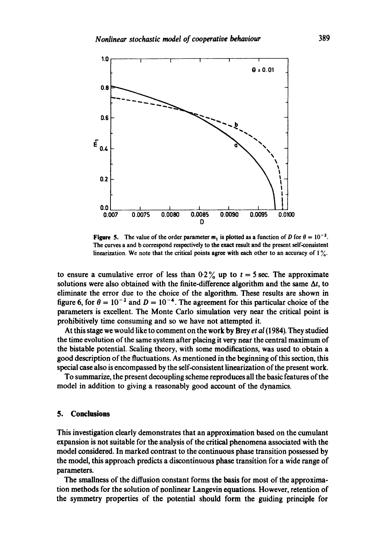

**Figure 5.** The value of the order parameter  $m_1$  is plotted as a function of D for  $\theta = 10^{-2}$ . The curves a and b correspond respectively to the exact result and the present self-consistent linearization. We note that the critical points agree with each other to an accuracy of  $1\%$ .

to ensure a cumulative error of less than  $0.2\%$  up to  $t = 5$  sec. The approximate solutions were also obtained with the finite-difference algorithm and the same  $\Delta t$ , to eliminate the error due to the choice of the algorithm. These results are shown in figure 6, for  $\theta = 10^{-2}$  and  $D = 10^{-4}$ . The agreement for this particular choice of the parameters is excellent. The Monte Carlo simulation very near the critical point is prohibitively time consuming and so we have not attempted it.

At this stage we would like to comment on the work by Brey *et al* (1984). They studied the time evolution of the same system after placing it very near the central maximum of the bistable potential. Scaling theory, with some modifications, was used to obtain a good description of the fluctuations. As mentioned in the beginning of this section, this special case also is encompassed by the self-consistent linearization of the present work.

To summarize, the present decoupling scheme reproduces all the basic features of the model in addition to giving a reasonably good account of the dynamics.

#### **5. Conclusions**

This investigation clearly demonstrates that an approximation based on the cumulant expansion is not suitable for the analysis of the critical phenomena associated with the model considered. In marked contrast to the continuous phase transition possessed by the model, this approach predicts a discontinuous phase transition for a wide range of parameters.

The smallness of the diffusion constant forms the basis for most of the approximation methods for the solution of nonlinear Langevin equations. However, retention of the symmetry properties of the potential should form the guiding principle for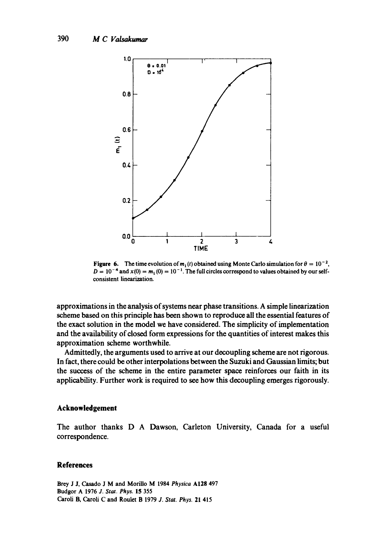

Figure 6. The time evolution of  $m_1(t)$  obtained using Monte Carlo simulation for  $\theta = 10^{-2}$ ,  $D = 10^{-4}$  and  $x(0) = m_1(0) = 10^{-1}$ . The full circles correspond to values obtained by our selfconsistent linearization.

approximations in the analysis of systems near phase transitions. A simple linearization scheme based on this principle has been shown to reproduce all the essential features of the exact solution in the model we have considered. The simplicity of implementation and the availability of closed form expressions for the quantities of interest makes this approximation scheme worthwhile.

Admittedly, the arguments used to arrive at our deeoupling scheme are not rigorous. In fact, there could be other interpolations between the Suzuki and Gaussian limits; but the success of the scheme in the entire parameter space reinforces our faith in its applicability. Further work is required to see how this decoupling emerges rigorously.

## **Acknowledgement**

The author thanks D A Dawson, Carleton University, Canada for a useful correspondence.

## **References**

Brey J J, Casado J M and Morillo M 1984 *Physica* A128 497 Budgor A 1976 *J. Star. Phys.* 15 355 Caroli B, Caroli C and Roulet B 1979 *J. Star. Phys.* 21 415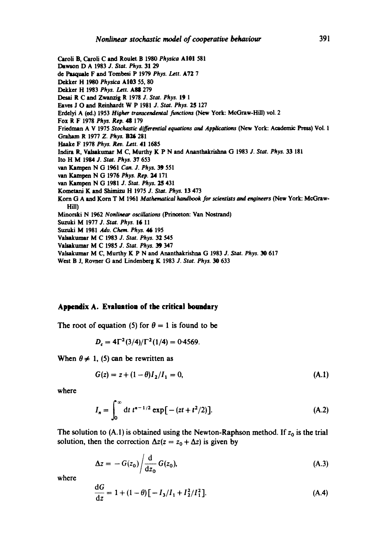Caroli B, Caroli C and Roulet B 1980 *Physica* A101 581 Dawson D A 1983 *J. Star. Phys.* 31 29 de Pasquale F and Tombesi P 1979 *Phys. Lett.* A72 7 Dekker H 1980 *Physica* AI03 55, 80 Dekker H 1983 *Phys.* Lat. A88 279 Desai R C and Zwanzig R 1978 *J. Stat. Phys.* 19 1 Eaves J O and Reinhardt W P 1981 *J. Stat. Phys.* 25 127 Erdelyi A (ed.) 1953 *Higher transcendental functions (New* York: McGraw-Hill) vol. 2 Fox R F 1978 *Phys. Rep. 48* 179 Friedman A V 1975 *Stochastic differential equations and Applications* (New York: Academic Press) Vol. 1 Graham R 1977 *Z. Phys.* B26 281 Haake F 1978 *Phys. Roy. Lett.* 41 1685 Indira R, Vahakumar M C, Murthy K P N and Ananthakrishna G 1983 *J. Star. Phys.* 33 181 Ito H M 1984 *J. Star. Phys.* 37 653 van Kampen N G 1961 *Can. J. Phys.* 39 551 van Kampen N G 1976 *Phys. Rep.* 24 171 van Kampen N G 1981 *J. Star. Phys. 25* 431 Kometani K and Shimizu H 1975 *J. Stat. Phys.* 13 473 Korn G A and Korn T M 1961 *Mathematical handbook for scientists and engineers* (New York: McGraw-Hm) Minorski N 1962 *Nonlinear oscillations* (Princeton: Van Nostrand) Suzuki M 1977 *J. Star. Phys.* 16 11 Suzuki M 1981 *Adv. Chem. Phys. 45* 195 Valsakumar M C 1983 *J. Star. Phys. 32 545*  Valsakumar M C 1985 *J. Stat. Phys.* 39 347 Valsakumar M C, Murthy K P N and Ananthakrishna G 1983 *J. Stat. Phys. 30* 617 West B J, Rovner G and Lindenberg K 1983 *J. Stat. Phys.* 30 633

# Appendix A. Evaluation of the critical boundary

The root of equation (5) for  $\theta = 1$  is found to be

$$
D_c = 4\Gamma^2(3/4)/\Gamma^2(1/4) = 0.4569.
$$

When  $\theta \neq 1$ , (5) can be rewritten as

$$
G(z) = z + (1 - \theta)I_2/I_1 = 0,
$$
\n(A.1)

where

$$
I_n = \int_0^\infty dt \ t^{n-1/2} \exp[-(zt+t^2/2)].
$$
 (A.2)

The solution to  $(A.1)$  is obtained using the Newton-Raphson method. If  $z_0$  is the trial solution, then the correction  $\Delta z(z = z_0 + \Delta z)$  is given by

$$
\Delta z = -G(z_0) \bigg/ \frac{\mathrm{d}}{\mathrm{d} z_0} G(z_0), \tag{A.3}
$$

*where* 

$$
\frac{dG}{dz} = 1 + (1 - \theta) \left[ -I_3 / I_1 + I_2^2 / I_1^2 \right].
$$
 (A.4)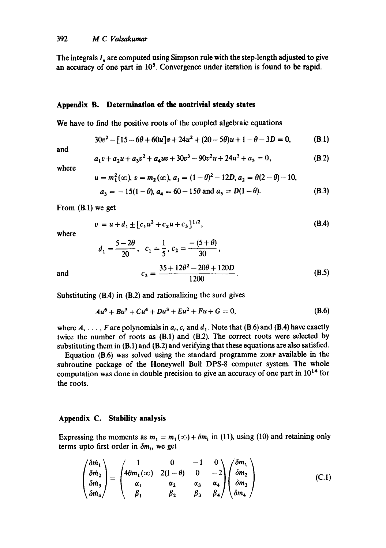The integrals  $I_n$  are computed using Simpson rule with the step-length adjusted to give an accuracy of one part in  $10<sup>5</sup>$ . Convergence under iteration is found to be rapid.

#### **Appendix B. Determination of the nontrivial steady states**

We have to find the positive roots of the coupled algebraic equations

$$
30v2 - [15 - 6\theta + 60u]v + 24u2 + (20 - 5\theta)u + 1 - \theta - 3D = 0,
$$
 (B.1)

and

$$
a_1v + a_2u + a_3v^2 + a_4uv + 30v^3 - 90v^2u + 24u^3 + a_5 = 0,
$$
 (B.2)

where

$$
u = m_1^2(\infty), v = m_2(\infty), a_1 = (1 - \theta)^2 - 12D, a_2 = \theta(2 - \theta) - 10,
$$
  

$$
a_3 = -15(1 - \theta), a_4 = 60 - 15\theta \text{ and } a_5 = D(1 - \theta).
$$
 (B.3)

From (B.I) we get

$$
v = u + d_1 \pm [c_1 u^2 + c_2 u + c_3]^{1/2}, \tag{B.4}
$$

where

$$
d_1 = \frac{5 - 2\theta}{20}, \quad c_1 = \frac{1}{5}, \quad c_2 = \frac{-(5 + \theta)}{30},
$$
  
and  

$$
c_3 = \frac{35 + 12\theta^2 - 20\theta + 120D}{1200}.
$$
 (B.5)

Substituting (B.4) in (B.2) and rationalizing the surd gives

$$
Au6 + Bu5 + Cu4 + Du3 + Eu2 + Fu + G = 0,
$$
 (B.6)

where A, ..., F are polynomials in  $a_i, c_i$  and  $d_1$ . Note that (B.6) and (B.4) have exactly twice the number of roots as (B.1) and (B.2). The correct roots were selected by substituting them in  $(B.1)$  and  $(B.2)$  and verifying that these equations are also satisfied.

Equation (B.6) was solved using the standard programme zorp available in the subroutine package of the Honeywell Bull DPS-8 computer system. The whole computation was done in double precision to give an accuracy of one part in 1014 for the roots.

#### **Appendix C. Stability analysis**

Expressing the moments as  $m_1 = m_1 (\infty) + \delta m_i$  in (11), using (10) and retaining only terms upto first order in  $\delta m_i$ , we get

$$
\begin{pmatrix}\n\delta m_1 \\
\delta m_2 \\
\delta m_3 \\
\delta m_4\n\end{pmatrix} = \begin{pmatrix}\n1 & 0 & -1 & 0 \\
4\theta m_1(\infty) & 2(1-\theta) & 0 & -2 \\
\alpha_1 & \alpha_2 & \alpha_3 & \alpha_4 \\
\beta_1 & \beta_2 & \beta_3 & \beta_4\n\end{pmatrix} \begin{pmatrix}\n\delta m_1 \\
\delta m_2 \\
\delta m_3 \\
\delta m_4\n\end{pmatrix}
$$
\n(C.1)